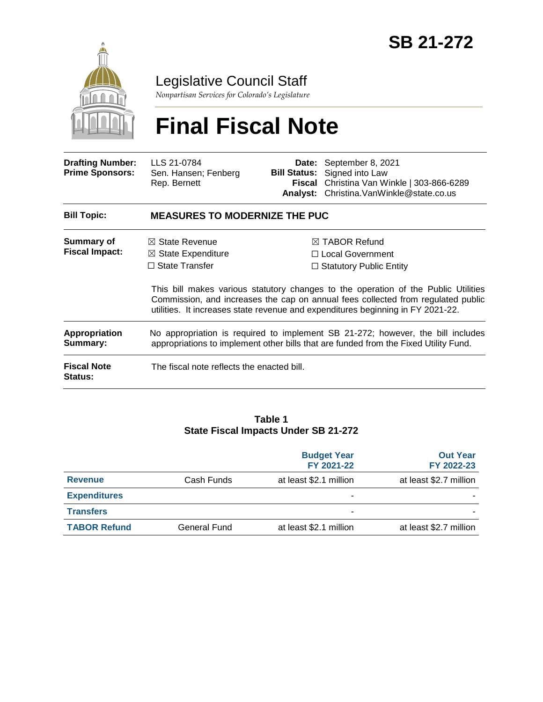

## Legislative Council Staff

*Nonpartisan Services for Colorado's Legislature*

# **Final Fiscal Note**

| <b>Drafting Number:</b><br><b>Prime Sponsors:</b> | LLS 21-0784<br>Sen. Hansen; Fenberg<br>Rep. Bernett                                                                                                                                                                                                       | <b>Bill Status:</b> | Date: September 8, 2021<br>Signed into Law<br>Fiscal Christina Van Winkle   303-866-6289<br>Analyst: Christina. VanWinkle@state.co.us |  |
|---------------------------------------------------|-----------------------------------------------------------------------------------------------------------------------------------------------------------------------------------------------------------------------------------------------------------|---------------------|---------------------------------------------------------------------------------------------------------------------------------------|--|
| <b>Bill Topic:</b>                                | <b>MEASURES TO MODERNIZE THE PUC</b>                                                                                                                                                                                                                      |                     |                                                                                                                                       |  |
| Summary of<br><b>Fiscal Impact:</b>               | $\boxtimes$ State Revenue<br>$\boxtimes$ State Expenditure                                                                                                                                                                                                |                     | $\boxtimes$ TABOR Refund<br>$\Box$ Local Government                                                                                   |  |
|                                                   | $\Box$ State Transfer                                                                                                                                                                                                                                     |                     | $\Box$ Statutory Public Entity                                                                                                        |  |
|                                                   | This bill makes various statutory changes to the operation of the Public Utilities<br>Commission, and increases the cap on annual fees collected from regulated public<br>utilities. It increases state revenue and expenditures beginning in FY 2021-22. |                     |                                                                                                                                       |  |
| <b>Appropriation</b><br>Summary:                  | No appropriation is required to implement SB 21-272; however, the bill includes<br>appropriations to implement other bills that are funded from the Fixed Utility Fund.                                                                                   |                     |                                                                                                                                       |  |
| <b>Fiscal Note</b><br><b>Status:</b>              | The fiscal note reflects the enacted bill.                                                                                                                                                                                                                |                     |                                                                                                                                       |  |

#### **Table 1 State Fiscal Impacts Under SB 21-272**

|                     |              | <b>Budget Year</b><br>FY 2021-22 | <b>Out Year</b><br>FY 2022-23 |
|---------------------|--------------|----------------------------------|-------------------------------|
| <b>Revenue</b>      | Cash Funds   | at least \$2.1 million           | at least \$2.7 million        |
| <b>Expenditures</b> |              |                                  |                               |
| <b>Transfers</b>    |              | -                                |                               |
| <b>TABOR Refund</b> | General Fund | at least \$2.1 million           | at least \$2.7 million        |
|                     |              |                                  |                               |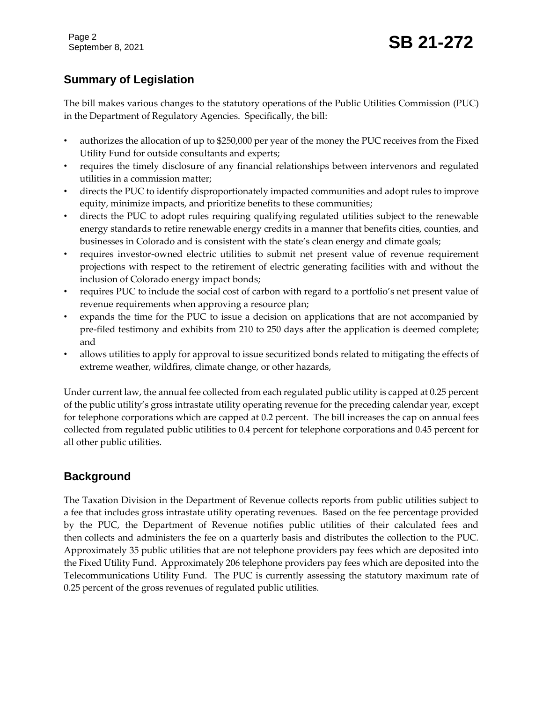Page 2

## **Summary of Legislation**

The bill makes various changes to the statutory operations of the Public Utilities Commission (PUC) in the Department of Regulatory Agencies. Specifically, the bill:

- authorizes the allocation of up to \$250,000 per year of the money the PUC receives from the Fixed Utility Fund for outside consultants and experts;
- requires the timely disclosure of any financial relationships between intervenors and regulated utilities in a commission matter;
- directs the PUC to identify disproportionately impacted communities and adopt rules to improve equity, minimize impacts, and prioritize benefits to these communities;
- directs the PUC to adopt rules requiring qualifying regulated utilities subject to the renewable energy standards to retire renewable energy credits in a manner that benefits cities, counties, and businesses in Colorado and is consistent with the state's clean energy and climate goals;
- requires investor-owned electric utilities to submit net present value of revenue requirement projections with respect to the retirement of electric generating facilities with and without the inclusion of Colorado energy impact bonds;
- requires PUC to include the social cost of carbon with regard to a portfolio's net present value of revenue requirements when approving a resource plan;
- expands the time for the PUC to issue a decision on applications that are not accompanied by pre-filed testimony and exhibits from 210 to 250 days after the application is deemed complete; and
- allows utilities to apply for approval to issue securitized bonds related to mitigating the effects of extreme weather, wildfires, climate change, or other hazards,

Under current law, the annual fee collected from each regulated public utility is capped at 0.25 percent of the public utility's gross intrastate utility operating revenue for the preceding calendar year, except for telephone corporations which are capped at 0.2 percent. The bill increases the cap on annual fees collected from regulated public utilities to 0.4 percent for telephone corporations and 0.45 percent for all other public utilities.

## **Background**

The Taxation Division in the Department of Revenue collects reports from public utilities subject to a fee that includes gross intrastate utility operating revenues. Based on the fee percentage provided by the PUC, the Department of Revenue notifies public utilities of their calculated fees and then collects and administers the fee on a quarterly basis and distributes the collection to the PUC. Approximately 35 public utilities that are not telephone providers pay fees which are deposited into the Fixed Utility Fund. Approximately 206 telephone providers pay fees which are deposited into the Telecommunications Utility Fund. The PUC is currently assessing the statutory maximum rate of 0.25 percent of the gross revenues of regulated public utilities.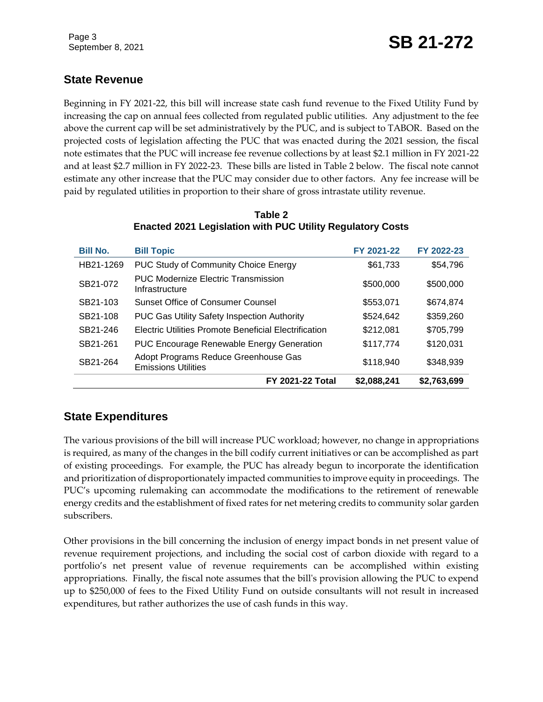## **State Revenue**

Beginning in FY 2021-22, this bill will increase state cash fund revenue to the Fixed Utility Fund by increasing the cap on annual fees collected from regulated public utilities. Any adjustment to the fee above the current cap will be set administratively by the PUC, and is subject to TABOR. Based on the projected costs of legislation affecting the PUC that was enacted during the 2021 session, the fiscal note estimates that the PUC will increase fee revenue collections by at least \$2.1 million in FY 2021-22 and at least \$2.7 million in FY 2022-23. These bills are listed in Table 2 below. The fiscal note cannot estimate any other increase that the PUC may consider due to other factors. Any fee increase will be paid by regulated utilities in proportion to their share of gross intrastate utility revenue.

| <b>Bill No.</b> | <b>Bill Topic</b>                                                  | FY 2021-22  | FY 2022-23  |
|-----------------|--------------------------------------------------------------------|-------------|-------------|
| HB21-1269       | <b>PUC Study of Community Choice Energy</b>                        | \$61,733    | \$54,796    |
| SB21-072        | <b>PUC Modernize Electric Transmission</b><br>Infrastructure       | \$500,000   | \$500,000   |
| SB21-103        | Sunset Office of Consumer Counsel                                  | \$553,071   | \$674,874   |
| SB21-108        | PUC Gas Utility Safety Inspection Authority                        | \$524,642   | \$359,260   |
| SB21-246        | Electric Utilities Promote Beneficial Electrification              | \$212,081   | \$705,799   |
| SB21-261        | <b>PUC Encourage Renewable Energy Generation</b>                   | \$117,774   | \$120,031   |
| SB21-264        | Adopt Programs Reduce Greenhouse Gas<br><b>Emissions Utilities</b> | \$118,940   | \$348,939   |
|                 | <b>FY 2021-22 Total</b>                                            | \$2,088,241 | \$2,763,699 |

#### **Table 2 Enacted 2021 Legislation with PUC Utility Regulatory Costs**

## **State Expenditures**

The various provisions of the bill will increase PUC workload; however, no change in appropriations is required, as many of the changes in the bill codify current initiatives or can be accomplished as part of existing proceedings. For example, the PUC has already begun to incorporate the identification and prioritization of disproportionately impacted communities to improve equity in proceedings. The PUC's upcoming rulemaking can accommodate the modifications to the retirement of renewable energy credits and the establishment of fixed rates for net metering credits to community solar garden subscribers.

Other provisions in the bill concerning the inclusion of energy impact bonds in net present value of revenue requirement projections, and including the social cost of carbon dioxide with regard to a portfolio's net present value of revenue requirements can be accomplished within existing appropriations. Finally, the fiscal note assumes that the bill's provision allowing the PUC to expend up to \$250,000 of fees to the Fixed Utility Fund on outside consultants will not result in increased expenditures, but rather authorizes the use of cash funds in this way.